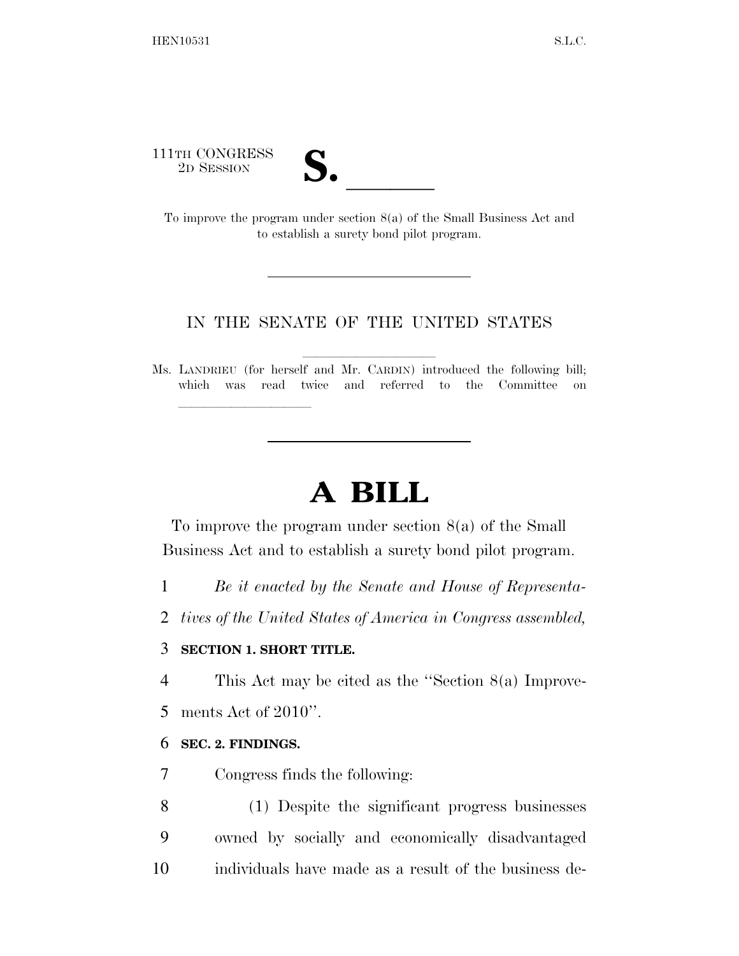111TH CONGRESS

11TH CONGRESS<br>
2D SESSION<br>
To improve the program under section 8(a) of the Small Business Act and to establish a surety bond pilot program.

## IN THE SENATE OF THE UNITED STATES

Ms. LANDRIEU (for herself and Mr. CARDIN) introduced the following bill; which was read twice and referred to the Committee on

## **A BILL**

To improve the program under section 8(a) of the Small Business Act and to establish a surety bond pilot program.

1 *Be it enacted by the Senate and House of Representa-*

2 *tives of the United States of America in Congress assembled,* 

## 3 **SECTION 1. SHORT TITLE.**

lle and a second control of the second control of the second control of the second control of the second control of the second control of the second control of the second control of the second control of the second control

4 This Act may be cited as the ''Section 8(a) Improve-

5 ments Act of 2010''.

## 6 **SEC. 2. FINDINGS.**

7 Congress finds the following:

8 (1) Despite the significant progress businesses 9 owned by socially and economically disadvantaged 10 individuals have made as a result of the business de-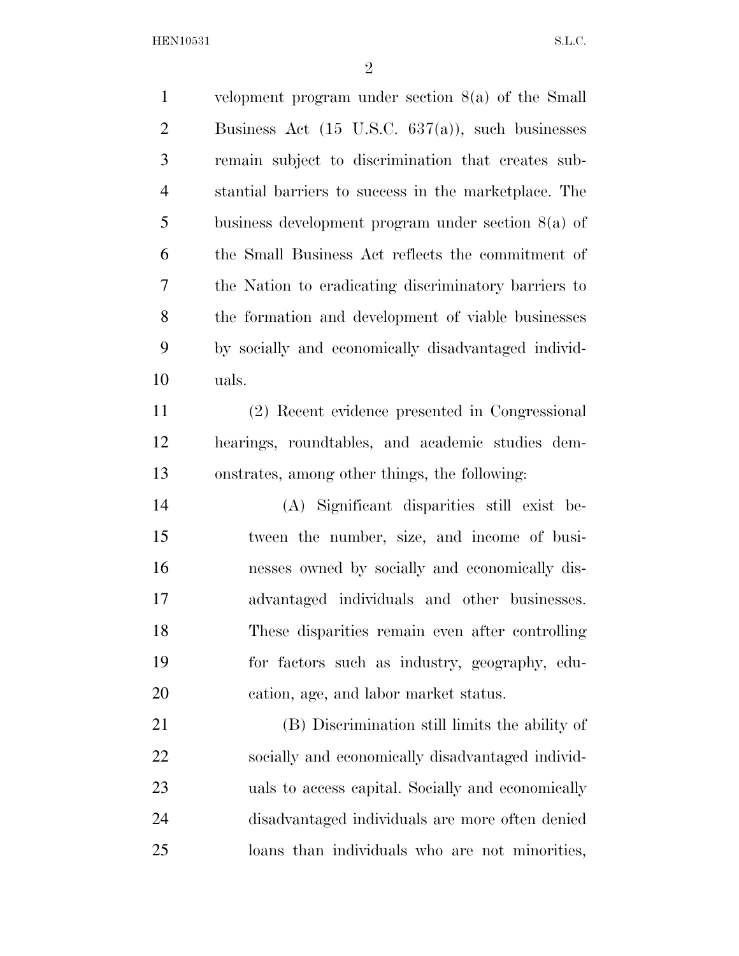velopment program under section 8(a) of the Small Business Act (15 U.S.C. 637(a)), such businesses remain subject to discrimination that creates sub- stantial barriers to success in the marketplace. The business development program under section 8(a) of the Small Business Act reflects the commitment of the Nation to eradicating discriminatory barriers to the formation and development of viable businesses by socially and economically disadvantaged individ-uals.

 (2) Recent evidence presented in Congressional hearings, roundtables, and academic studies dem-onstrates, among other things, the following:

 (A) Significant disparities still exist be- tween the number, size, and income of busi- nesses owned by socially and economically dis- advantaged individuals and other businesses. These disparities remain even after controlling for factors such as industry, geography, edu-cation, age, and labor market status.

 (B) Discrimination still limits the ability of socially and economically disadvantaged individ- uals to access capital. Socially and economically disadvantaged individuals are more often denied loans than individuals who are not minorities,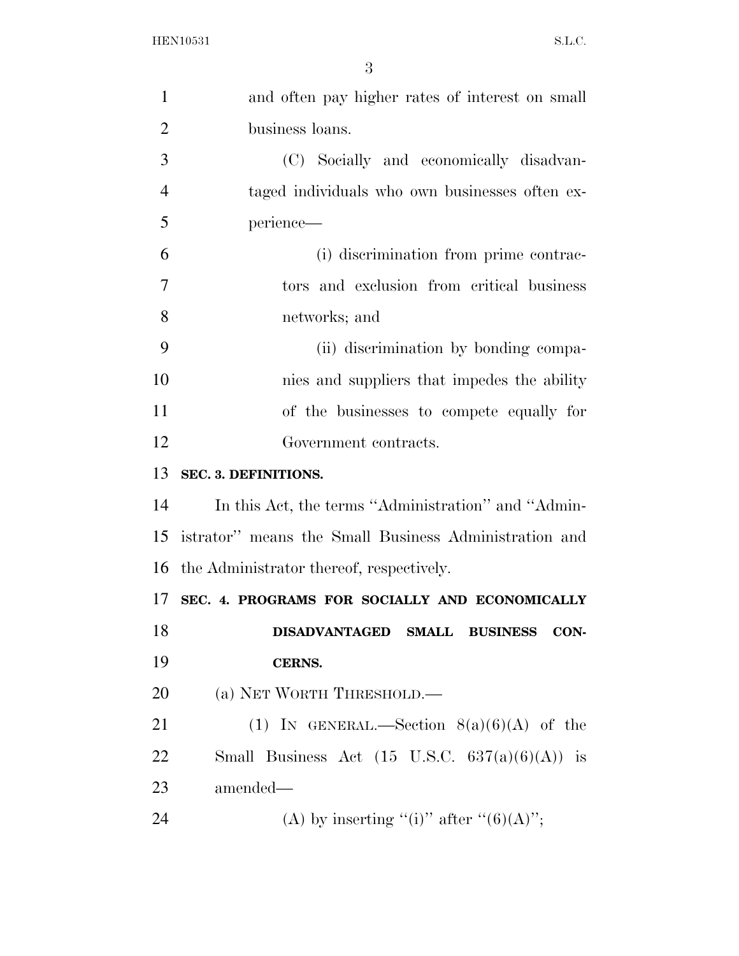| $\mathbf{1}$   | and often pay higher rates of interest on small           |
|----------------|-----------------------------------------------------------|
| $\overline{2}$ | business loans.                                           |
| 3              | (C) Socially and economically disadvan-                   |
| $\overline{4}$ | taged individuals who own businesses often ex-            |
| 5              | perience-                                                 |
| 6              | (i) discrimination from prime contrac-                    |
| $\overline{7}$ | tors and exclusion from critical business                 |
| 8              | networks; and                                             |
| 9              | (ii) discrimination by bonding compa-                     |
| 10             | nies and suppliers that impedes the ability               |
| 11             | of the businesses to compete equally for                  |
| 12             | Government contracts.                                     |
| 13             | SEC. 3. DEFINITIONS.                                      |
| 14             | In this Act, the terms "Administration" and "Admin-       |
| 15             | istrator" means the Small Business Administration and     |
|                | 16 the Administrator thereof, respectively.               |
|                | 17 SEC. 4. PROGRAMS FOR SOCIALLY AND ECONOMICALLY         |
| 18             | DISADVANTAGED SMALL BUSINESS CON-                         |
| 19             |                                                           |
|                | CERNS.                                                    |
| 20             | (a) NET WORTH THRESHOLD.—                                 |
| 21             | (1) IN GENERAL.—Section $8(a)(6)(A)$ of the               |
| 22             | Small Business Act $(15 \text{ U.S.C. } 637(a)(6)(A))$ is |
| 23             | amended—                                                  |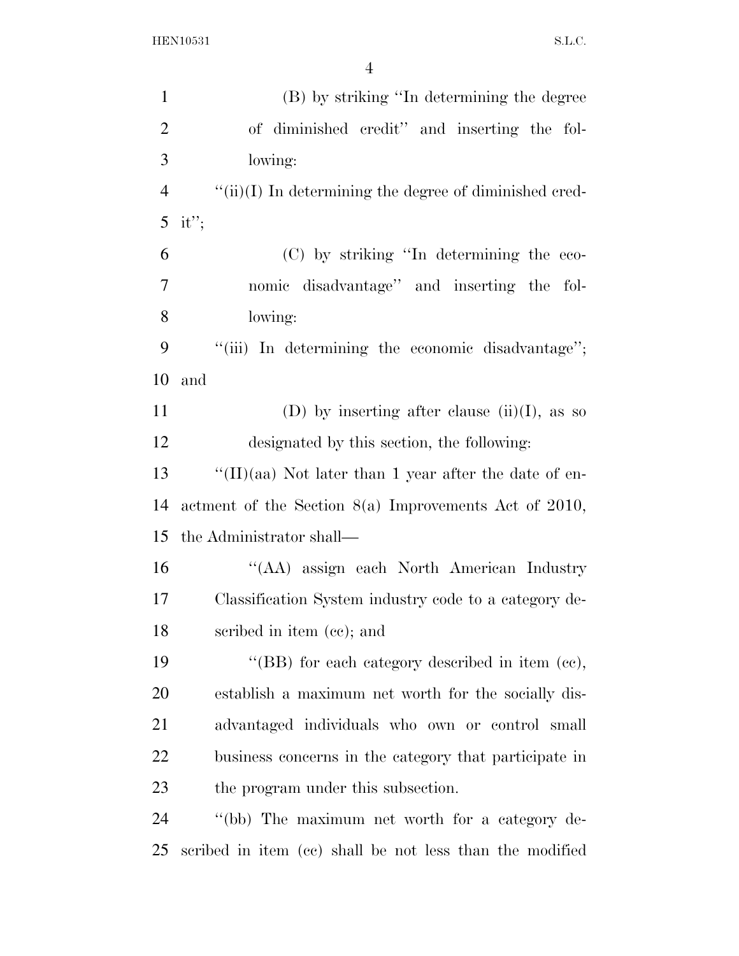| $\mathbf{1}$   | (B) by striking "In determining the degree                |
|----------------|-----------------------------------------------------------|
| $\overline{2}$ | of diminished credit" and inserting the fol-              |
| $\mathfrak{Z}$ | lowing:                                                   |
| $\overline{4}$ | $``(ii)(I)$ In determining the degree of diminished cred- |
| 5              | it";                                                      |
| 6              | (C) by striking "In determining the eco-                  |
| 7              | nomic disadvantage" and inserting the fol-                |
| 8              | lowing:                                                   |
| 9              | "(iii) In determining the economic disadvantage";         |
| 10             | and                                                       |
| 11             | (D) by inserting after clause (ii)(I), as so              |
| 12             | designated by this section, the following:                |
| 13             | "(II)(aa) Not later than 1 year after the date of en-     |
| 14             | actment of the Section $8(a)$ Improvements Act of 2010,   |
| 15             | the Administrator shall—                                  |
| 16             | "(AA) assign each North American Industry                 |
| 17             | Classification System industry code to a category de-     |
| 18             | scribed in item (cc); and                                 |
| 19             | "(BB) for each category described in item $(ce)$ ,        |
| 20             | establish a maximum net worth for the socially dis-       |
| 21             | advantaged individuals who own or control small           |
| <u>22</u>      | business concerns in the category that participate in     |
| 23             | the program under this subsection.                        |
| 24             | "(bb) The maximum net worth for a category de-            |
| 25             | scribed in item (cc) shall be not less than the modified  |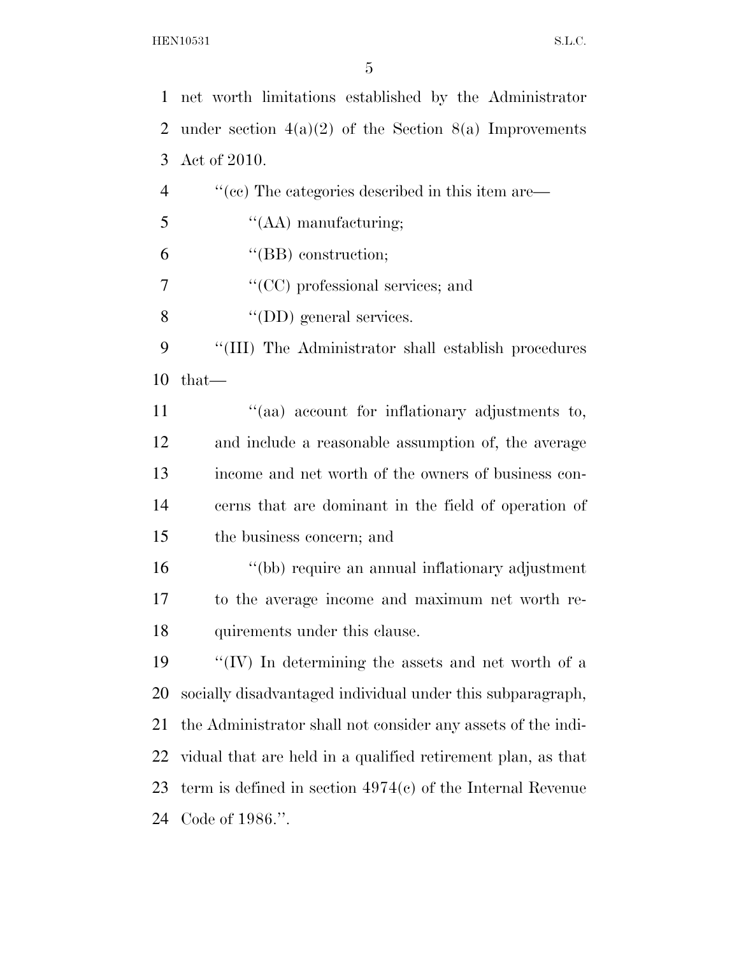net worth limitations established by the Administrator 2 under section  $4(a)(2)$  of the Section  $8(a)$  Improvements Act of 2010.  $\langle$  (cc) The categories described in this item are— ''(AA) manufacturing; ''(BB) construction; ''(CC) professional services; and ''(DD) general services. ''(III) The Administrator shall establish procedures that— 11 ''(aa) account for inflationary adjustments to, and include a reasonable assumption of, the average income and net worth of the owners of business con- cerns that are dominant in the field of operation of the business concern; and ''(bb) require an annual inflationary adjustment to the average income and maximum net worth re- quirements under this clause. ''(IV) In determining the assets and net worth of a socially disadvantaged individual under this subparagraph, the Administrator shall not consider any assets of the indi- vidual that are held in a qualified retirement plan, as that term is defined in section 4974(c) of the Internal Revenue Code of 1986.''.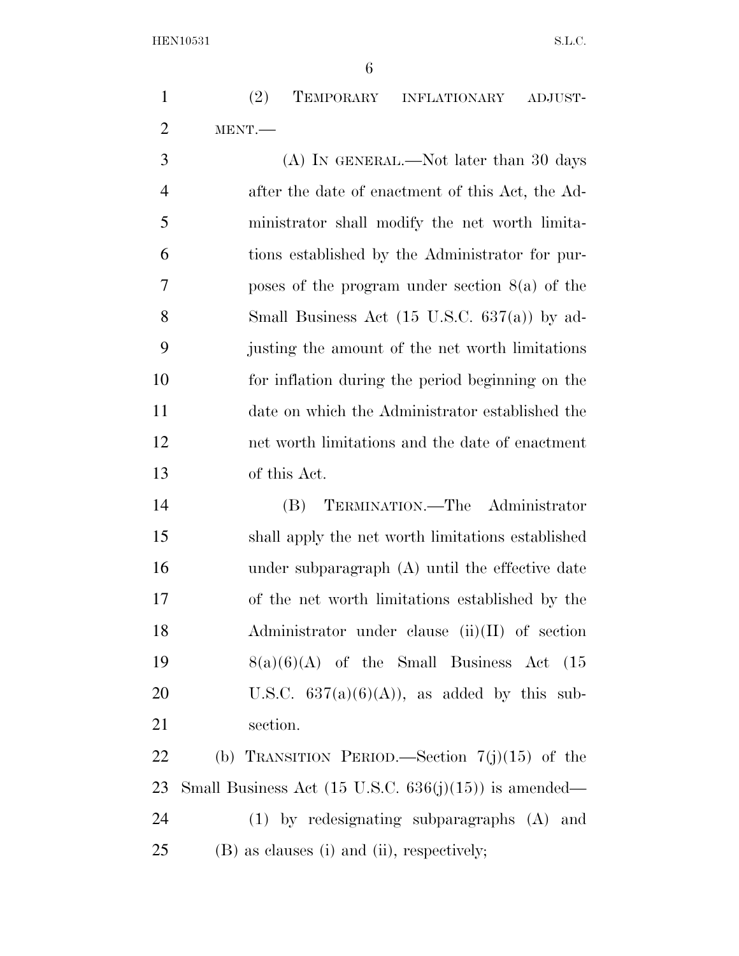(2) TEMPORARY INFLATIONARY ADJUST-MENT.—

 (A) IN GENERAL.—Not later than 30 days after the date of enactment of this Act, the Ad- ministrator shall modify the net worth limita- tions established by the Administrator for pur- poses of the program under section 8(a) of the Small Business Act (15 U.S.C. 637(a)) by ad- justing the amount of the net worth limitations for inflation during the period beginning on the date on which the Administrator established the net worth limitations and the date of enactment of this Act.

 (B) TERMINATION.—The Administrator shall apply the net worth limitations established under subparagraph (A) until the effective date of the net worth limitations established by the Administrator under clause (ii)(II) of section  $8(a)(6)(A)$  of the Small Business Act (15 20 U.S.C.  $637(a)(6)(A)$ , as added by this sub-section.

22 (b) TRANSITION PERIOD.—Section  $7(j)(15)$  of the 23 Small Business Act  $(15 \text{ U.S.C. } 636(j)(15))$  is amended— (1) by redesignating subparagraphs (A) and (B) as clauses (i) and (ii), respectively;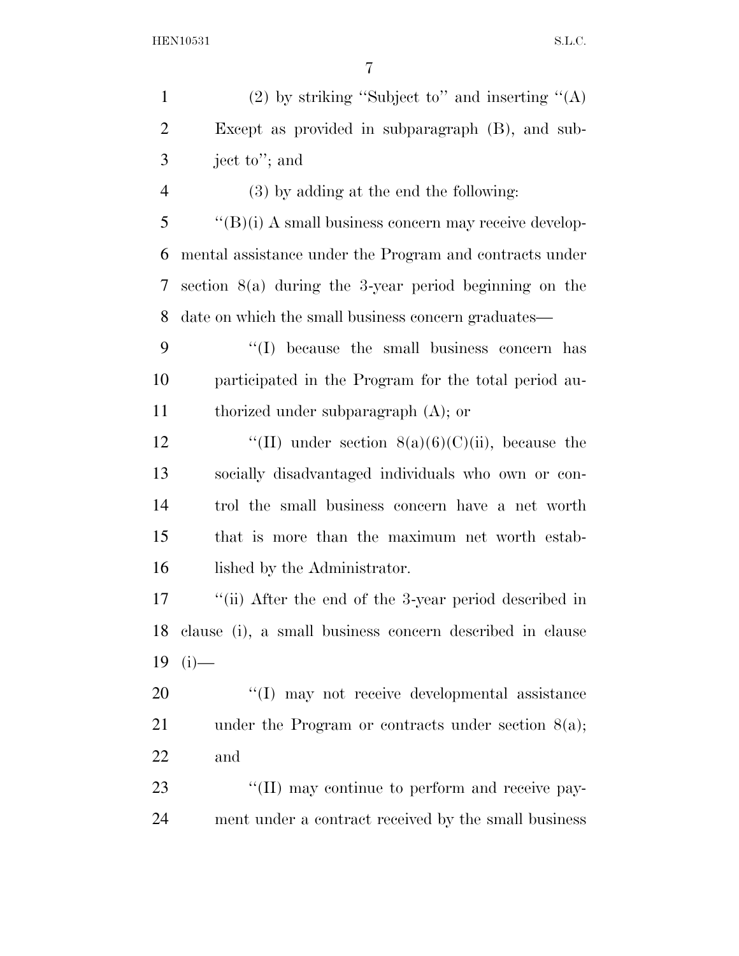| $\mathbf{1}$   | (2) by striking "Subject to" and inserting " $(A)$            |
|----------------|---------------------------------------------------------------|
| $\overline{2}$ | Except as provided in subparagraph (B), and sub-              |
| 3              | ject to"; and                                                 |
| $\overline{4}$ | $(3)$ by adding at the end the following:                     |
| 5              | $\lq\lq (B)(i)$ A small business concern may receive develop- |
| 6              | mental assistance under the Program and contracts under       |
| 7              | section $8(a)$ during the 3-year period beginning on the      |
| 8              | date on which the small business concern graduates—           |
| 9              | "(I) because the small business concern has                   |
| 10             | participated in the Program for the total period au-          |
| 11             | thorized under subparagraph $(A)$ ; or                        |
| 12             | "(II) under section $8(a)(6)(C)(ii)$ , because the            |
| 13             | socially disadvantaged individuals who own or con-            |
| 14             | trol the small business concern have a net worth              |
| 15             | that is more than the maximum net worth estab-                |
| 16             | lished by the Administrator.                                  |
| 17             | "(ii) After the end of the 3-year period described in         |
| 18             | clause (i), a small business concern described in clause      |
| 19             | $(i)$ —                                                       |
| 20             | "(I) may not receive developmental assistance                 |
| 21             | under the Program or contracts under section $8(a)$ ;         |
| 22             | and                                                           |
| 23             | "(II) may continue to perform and receive pay-                |
| 24             | ment under a contract received by the small business          |
|                |                                                               |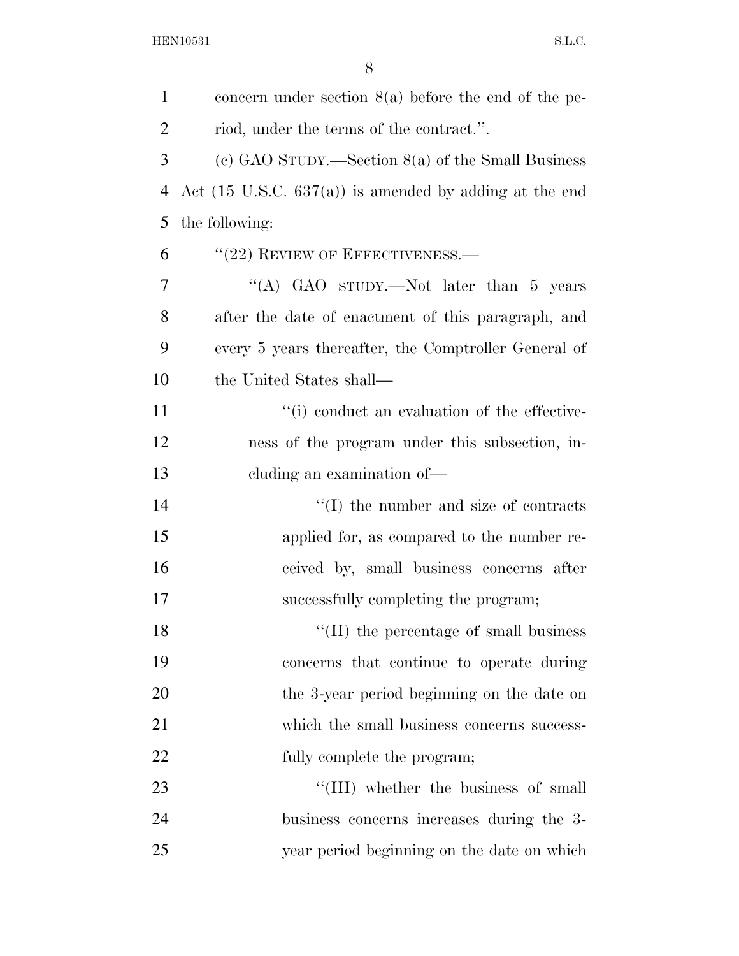| $\mathbf{1}$   | concern under section $8(a)$ before the end of the pe-            |
|----------------|-------------------------------------------------------------------|
| $\overline{2}$ | riod, under the terms of the contract.".                          |
| 3              | (c) GAO STUDY.—Section $8(a)$ of the Small Business               |
| $\overline{4}$ | Act $(15 \text{ U.S.C. } 637(a))$ is amended by adding at the end |
| 5              | the following:                                                    |
| 6              | $``(22)$ REVIEW OF EFFECTIVENESS.—                                |
| 7              | "(A) GAO sTUDY.—Not later than 5 years                            |
| 8              | after the date of enactment of this paragraph, and                |
| 9              | every 5 years thereafter, the Comptroller General of              |
| 10             | the United States shall—                                          |
| 11             | "(i) conduct an evaluation of the effective-                      |
| 12             | ness of the program under this subsection, in-                    |
| 13             | eluding an examination of—                                        |
| 14             | $\lq\lq$ (I) the number and size of contracts                     |
| 15             | applied for, as compared to the number re-                        |
| 16             | ceived by, small business concerns after                          |
| 17             | successfully completing the program;                              |
| 18             | $``(II)$ the percentage of small business                         |
| 19             | concerns that continue to operate during                          |
| 20             | the 3-year period beginning on the date on                        |
| 21             | which the small business concerns success-                        |
| 22             | fully complete the program;                                       |
| 23             | "(III) whether the business of small                              |
| 24             | business concerns increases during the 3-                         |
| 25             | year period beginning on the date on which                        |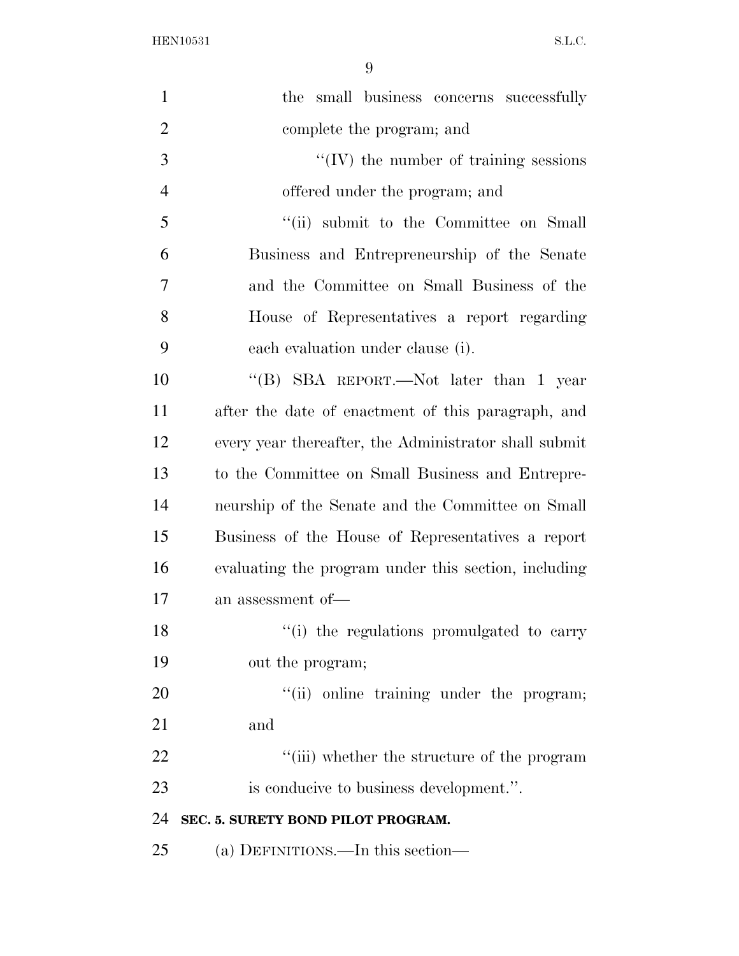| $\mathbf{1}$   | the small business concerns successfully              |
|----------------|-------------------------------------------------------|
| $\overline{2}$ | complete the program; and                             |
| 3              | $\lq\lq$ (IV) the number of training sessions         |
| $\overline{4}$ | offered under the program; and                        |
| 5              | "(ii) submit to the Committee on Small                |
| 6              | Business and Entrepreneurship of the Senate           |
| 7              | and the Committee on Small Business of the            |
| 8              | House of Representatives a report regarding           |
| 9              | each evaluation under clause (i).                     |
| 10             | "(B) SBA REPORT.—Not later than 1 year                |
| 11             | after the date of enactment of this paragraph, and    |
| 12             | every year thereafter, the Administrator shall submit |
| 13             | to the Committee on Small Business and Entrepre-      |
| 14             | neurship of the Senate and the Committee on Small     |
| 15             | Business of the House of Representatives a report     |
| 16             | evaluating the program under this section, including  |
| 17             | an assessment of-                                     |
| 18             | "(i) the regulations promulgated to carry             |
| 19             | out the program;                                      |
| 20             | "(ii) online training under the program;              |
| 21             | and                                                   |
| 22             | "(iii) whether the structure of the program           |
| 23             | is conducive to business development.".               |
| 24             | SEC. 5. SURETY BOND PILOT PROGRAM.                    |
| 25             | (a) DEFINITIONS.—In this section—                     |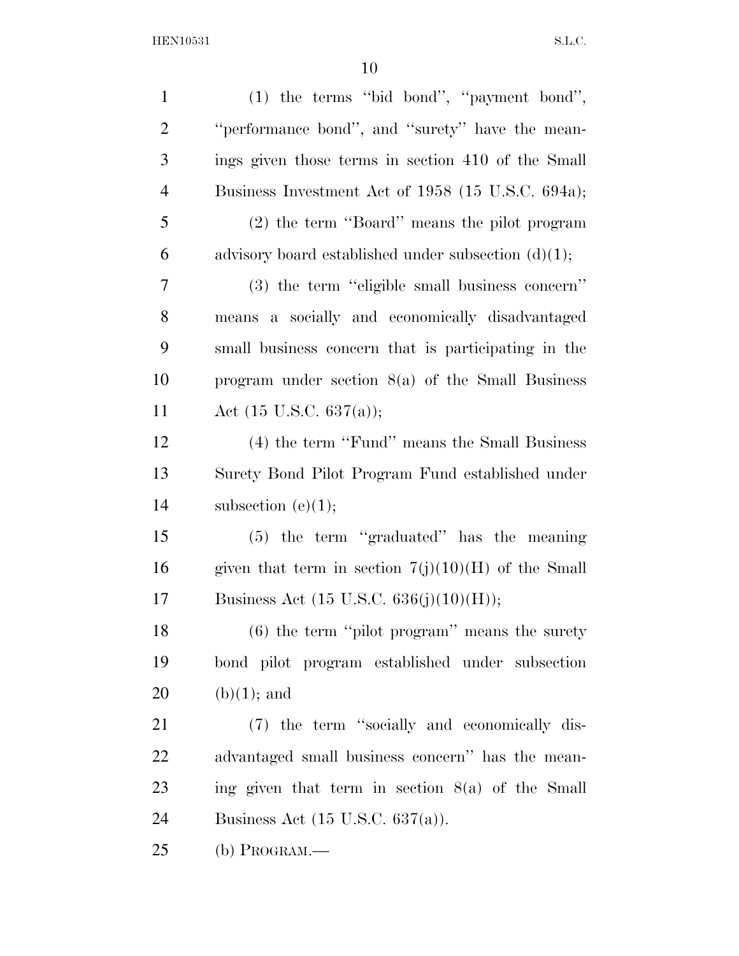| $\mathbf{1}$   | (1) the terms "bid bond", "payment bond",              |
|----------------|--------------------------------------------------------|
| $\overline{2}$ | "performance bond", and "surety" have the mean-        |
| 3              | ings given those terms in section 410 of the Small     |
| $\overline{4}$ | Business Investment Act of 1958 (15 U.S.C. 694a);      |
| 5              | (2) the term "Board" means the pilot program           |
| 6              | advisory board established under subsection $(d)(1)$ ; |
| 7              | (3) the term "eligible small business concern"         |
| 8              | means a socially and economically disadvantaged        |
| 9              | small business concern that is participating in the    |
| 10             | program under section $8(a)$ of the Small Business     |
| 11             | Act $(15 \text{ U.S.C. } 637(a));$                     |
| 12             | (4) the term "Fund" means the Small Business           |
| 13             | Surety Bond Pilot Program Fund established under       |
| 14             | subsection $(e)(1);$                                   |
| 15             | $(5)$ the term "graduated" has the meaning             |
| 16             | given that term in section $7(j)(10)(H)$ of the Small  |
| 17             | Business Act $(15 \text{ U.S.C. } 636(j)(10)(H));$     |
| 18             | $(6)$ the term "pilot program" means the surety        |
| 19             | bond pilot program established under subsection        |
| 20             | $(b)(1)$ ; and                                         |
| 21             | (7) the term "socially and economically dis-           |
| 22             | advantaged small business concern" has the mean-       |
| 23             | ing given that term in section $8(a)$ of the Small     |
| 24             | Business Act $(15 \text{ U.S.C. } 637(a))$ .           |
| 25             | (b) PROGRAM.—                                          |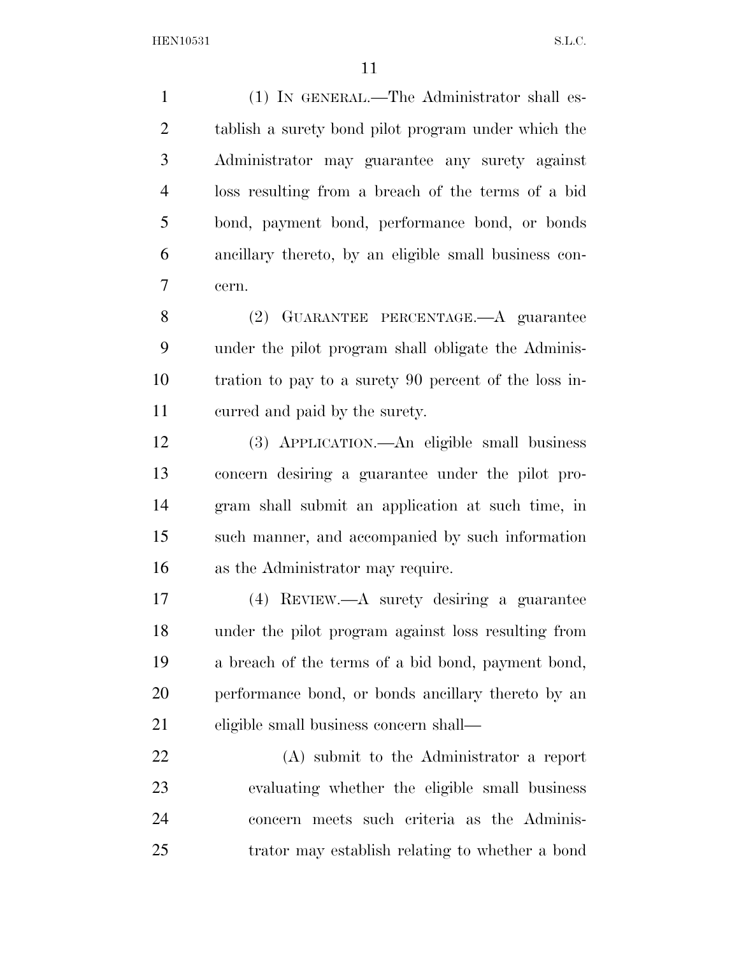(1) IN GENERAL.—The Administrator shall es- tablish a surety bond pilot program under which the Administrator may guarantee any surety against loss resulting from a breach of the terms of a bid bond, payment bond, performance bond, or bonds ancillary thereto, by an eligible small business con-cern.

 (2) GUARANTEE PERCENTAGE.—A guarantee under the pilot program shall obligate the Adminis- tration to pay to a surety 90 percent of the loss in-curred and paid by the surety.

 (3) APPLICATION.—An eligible small business concern desiring a guarantee under the pilot pro- gram shall submit an application at such time, in such manner, and accompanied by such information as the Administrator may require.

 (4) REVIEW.—A surety desiring a guarantee under the pilot program against loss resulting from a breach of the terms of a bid bond, payment bond, performance bond, or bonds ancillary thereto by an eligible small business concern shall—

 (A) submit to the Administrator a report evaluating whether the eligible small business concern meets such criteria as the Adminis-trator may establish relating to whether a bond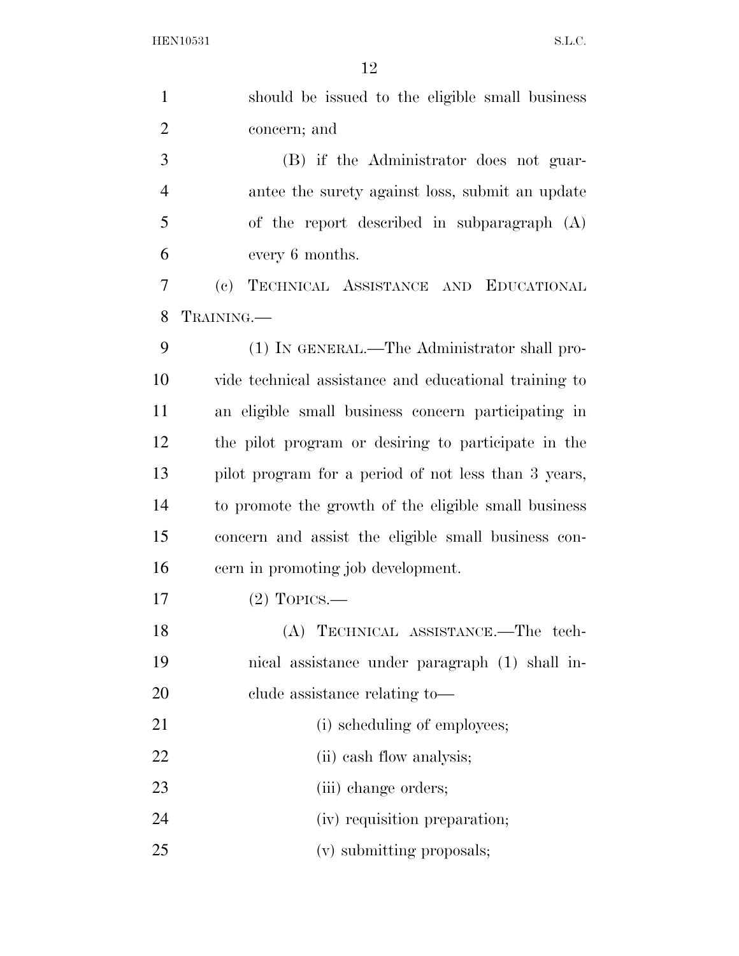| $\mathbf{1}$   | should be issued to the eligible small business                    |
|----------------|--------------------------------------------------------------------|
| $\overline{2}$ | concern; and                                                       |
| 3              | (B) if the Administrator does not guar-                            |
| $\overline{4}$ | antee the surety against loss, submit an update                    |
| 5              | of the report described in subparagraph (A)                        |
| 6              | every 6 months.                                                    |
| 7              | TECHNICAL ASSISTANCE AND EDUCATIONAL<br>$\left( \mathrm{e}\right)$ |
| 8              | TRAINING.                                                          |
| 9              | (1) IN GENERAL.—The Administrator shall pro-                       |
| 10             | vide technical assistance and educational training to              |
| 11             | an eligible small business concern participating in                |
| 12             | the pilot program or desiring to participate in the                |
| 13             | pilot program for a period of not less than 3 years,               |
| 14             | to promote the growth of the eligible small business               |
| 15             | concern and assist the eligible small business con-                |
| 16             | cern in promoting job development.                                 |
| 17             | $(2)$ TOPICS.—                                                     |
| 18             | (A) TECHNICAL ASSISTANCE.—The tech-                                |
| 19             | nical assistance under paragraph (1) shall in-                     |
| 20             | clude assistance relating to-                                      |
| 21             | (i) scheduling of employees;                                       |
| 22             | (ii) eash flow analysis;                                           |
| 23             | (iii) change orders;                                               |
| 24             | (iv) requisition preparation;                                      |
| 25             | (v) submitting proposals;                                          |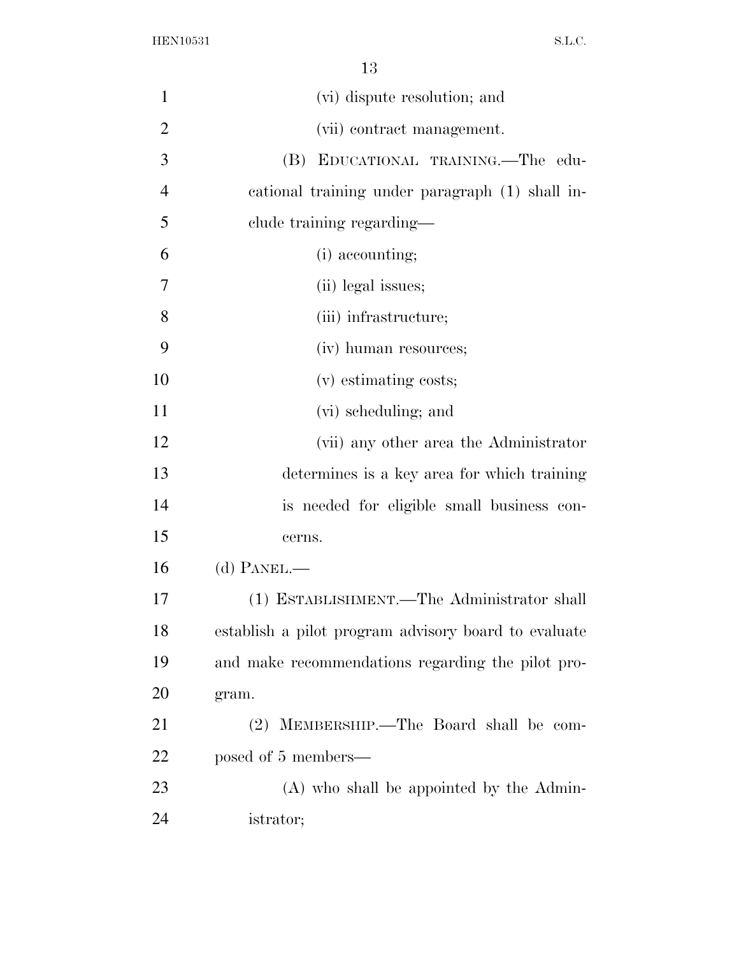| $\mathbf{1}$   | (vi) dispute resolution; and                         |
|----------------|------------------------------------------------------|
| $\overline{2}$ | (vii) contract management.                           |
| 3              | (B)<br>EDUCATIONAL TRAINING.—The edu-                |
| $\overline{4}$ | cational training under paragraph (1) shall in-      |
| 5              | clude training regarding—                            |
| 6              | (i) accounting;                                      |
| 7              | (ii) legal issues;                                   |
| 8              | (iii) infrastructure;                                |
| 9              | (iv) human resources;                                |
| 10             | (v) estimating costs;                                |
| 11             | (vi) scheduling; and                                 |
| 12             | (vii) any other area the Administrator               |
| 13             | determines is a key area for which training          |
| 14             | is needed for eligible small business con-           |
| 15             | cerns.                                               |
| 16             | $(d)$ PANEL.—                                        |
| 17             | (1) ESTABLISHMENT.—The Administrator shall           |
| 18             | establish a pilot program advisory board to evaluate |
| 19             | and make recommendations regarding the pilot pro-    |
| 20             | gram.                                                |
| 21             | (2) MEMBERSHIP.—The Board shall be com-              |
| 22             | posed of 5 members—                                  |
| 23             | (A) who shall be appointed by the Admin-             |
| 24             | istrator;                                            |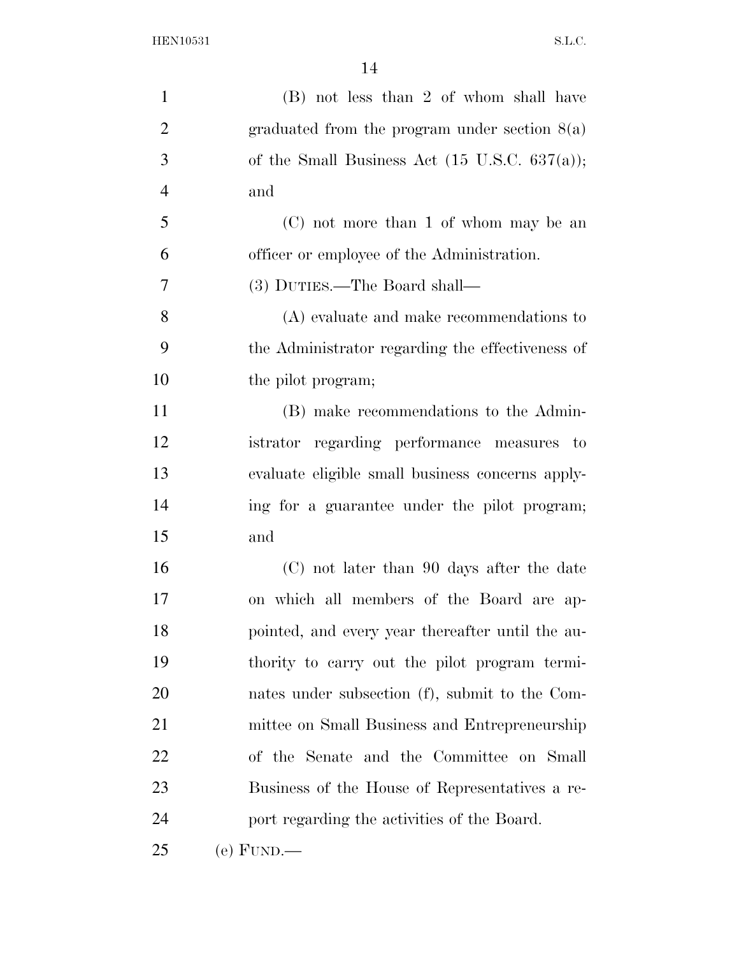| 1              | (B) not less than 2 of whom shall have                   |
|----------------|----------------------------------------------------------|
| $\overline{2}$ | graduated from the program under section $8(a)$          |
| 3              | of the Small Business Act $(15 \text{ U.S.C. } 637(a));$ |
| $\overline{4}$ | and                                                      |
| 5              | (C) not more than 1 of whom may be an                    |
| 6              | officer or employee of the Administration.               |
| 7              | (3) DUTIES.—The Board shall—                             |
| 8              | $(A)$ evaluate and make recommendations to               |
| 9              | the Administrator regarding the effectiveness of         |
| 10             | the pilot program;                                       |
| 11             | (B) make recommendations to the Admin-                   |
| 12             | istrator regarding performance measures to               |
| 13             | evaluate eligible small business concerns apply-         |
| 14             | ing for a guarantee under the pilot program;             |
| 15             | and                                                      |
| 16             | (C) not later than 90 days after the date                |
| 17             | on which all members of the Board are ap-                |
| 18             | pointed, and every year thereafter until the au-         |
| 19             | thority to carry out the pilot program termi-            |
| 20             | nates under subsection (f), submit to the Com-           |
| 21             | mittee on Small Business and Entrepreneurship            |
| 22             | of the Senate and the Committee on Small                 |
| 23             | Business of the House of Representatives a re-           |
| 24             | port regarding the activities of the Board.              |
| 25             | $(e)$ FUND.—                                             |